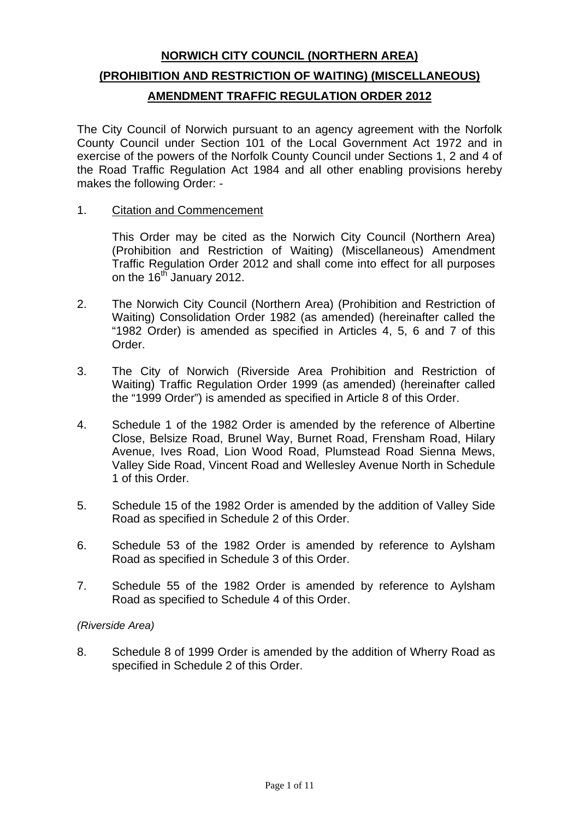# **NORWICH CITY COUNCIL (NORTHERN AREA) (PROHIBITION AND RESTRICTION OF WAITING) (MISCELLANEOUS) AMENDMENT TRAFFIC REGULATION ORDER 2012**

The City Council of Norwich pursuant to an agency agreement with the Norfolk County Council under Section 101 of the Local Government Act 1972 and in exercise of the powers of the Norfolk County Council under Sections 1, 2 and 4 of the Road Traffic Regulation Act 1984 and all other enabling provisions hereby makes the following Order: -

1. Citation and Commencement

This Order may be cited as the Norwich City Council (Northern Area) (Prohibition and Restriction of Waiting) (Miscellaneous) Amendment Traffic Regulation Order 2012 and shall come into effect for all purposes on the 16<sup>th</sup> January 2012.

- 2. The Norwich City Council (Northern Area) (Prohibition and Restriction of Waiting) Consolidation Order 1982 (as amended) (hereinafter called the "1982 Order) is amended as specified in Articles 4, 5, 6 and 7 of this Order.
- 3. The City of Norwich (Riverside Area Prohibition and Restriction of Waiting) Traffic Regulation Order 1999 (as amended) (hereinafter called the "1999 Order") is amended as specified in Article 8 of this Order.
- 4. Schedule 1 of the 1982 Order is amended by the reference of Albertine Close, Belsize Road, Brunel Way, Burnet Road, Frensham Road, Hilary Avenue, Ives Road, Lion Wood Road, Plumstead Road Sienna Mews, Valley Side Road, Vincent Road and Wellesley Avenue North in Schedule 1 of this Order.
- 5. Schedule 15 of the 1982 Order is amended by the addition of Valley Side Road as specified in Schedule 2 of this Order.
- 6. Schedule 53 of the 1982 Order is amended by reference to Aylsham Road as specified in Schedule 3 of this Order.
- 7. Schedule 55 of the 1982 Order is amended by reference to Aylsham Road as specified to Schedule 4 of this Order.

#### *(Riverside Area)*

8. Schedule 8 of 1999 Order is amended by the addition of Wherry Road as specified in Schedule 2 of this Order.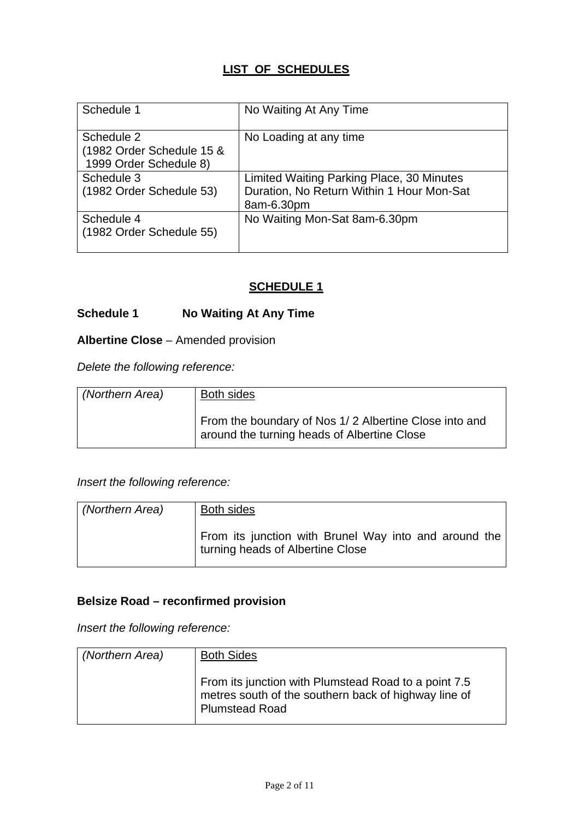## **LIST OF SCHEDULES**

| Schedule 1                | No Waiting At Any Time                    |
|---------------------------|-------------------------------------------|
|                           |                                           |
| Schedule 2                | No Loading at any time                    |
| (1982 Order Schedule 15 & |                                           |
| 1999 Order Schedule 8)    |                                           |
| Schedule 3                | Limited Waiting Parking Place, 30 Minutes |
| (1982 Order Schedule 53)  | Duration, No Return Within 1 Hour Mon-Sat |
|                           | 8am-6.30pm                                |
| Schedule 4                | No Waiting Mon-Sat 8am-6.30pm             |
| (1982 Order Schedule 55)  |                                           |
|                           |                                           |

## **SCHEDULE 1**

### **Schedule 1 No Waiting At Any Time**

## **Albertine Close** – Amended provision

*Delete the following reference:* 

| (Northern Area) | Both sides                                                                                           |
|-----------------|------------------------------------------------------------------------------------------------------|
|                 | From the boundary of Nos 1/2 Albertine Close into and<br>around the turning heads of Albertine Close |

*Insert the following reference:* 

| (Northern Area) | <b>Both sides</b>                                                                         |
|-----------------|-------------------------------------------------------------------------------------------|
|                 | From its junction with Brunel Way into and around the<br>turning heads of Albertine Close |

#### **Belsize Road – reconfirmed provision**

*Insert the following reference:* 

| (Northern Area) | <b>Both Sides</b>                                                                                                                     |
|-----------------|---------------------------------------------------------------------------------------------------------------------------------------|
|                 | From its junction with Plumstead Road to a point 7.5<br>metres south of the southern back of highway line of<br><b>Plumstead Road</b> |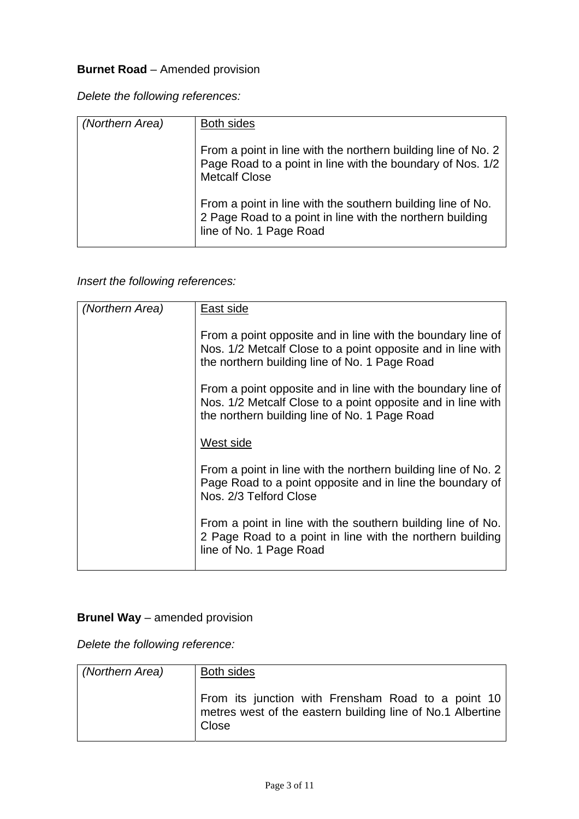## **Burnet Road** – Amended provision

*Delete the following references:* 

| (Northern Area) | <b>Both sides</b>                                                                                                                                   |
|-----------------|-----------------------------------------------------------------------------------------------------------------------------------------------------|
|                 | From a point in line with the northern building line of No. 2<br>Page Road to a point in line with the boundary of Nos. 1/2<br><b>Metcalf Close</b> |
|                 | From a point in line with the southern building line of No.<br>2 Page Road to a point in line with the northern building<br>line of No. 1 Page Road |

*Insert the following references:* 

| (Northern Area) | East side                                                                                                                                                                   |
|-----------------|-----------------------------------------------------------------------------------------------------------------------------------------------------------------------------|
|                 | From a point opposite and in line with the boundary line of<br>Nos. 1/2 Metcalf Close to a point opposite and in line with<br>the northern building line of No. 1 Page Road |
|                 | From a point opposite and in line with the boundary line of<br>Nos. 1/2 Metcalf Close to a point opposite and in line with<br>the northern building line of No. 1 Page Road |
|                 | West side                                                                                                                                                                   |
|                 | From a point in line with the northern building line of No. 2<br>Page Road to a point opposite and in line the boundary of<br>Nos. 2/3 Telford Close                        |
|                 | From a point in line with the southern building line of No.<br>2 Page Road to a point in line with the northern building<br>line of No. 1 Page Road                         |

# **Brunel Way** – amended provision

*Delete the following reference:* 

| (Northern Area) | <b>Both sides</b>                                                                                                         |
|-----------------|---------------------------------------------------------------------------------------------------------------------------|
|                 | From its junction with Frensham Road to a point 10<br>metres west of the eastern building line of No.1 Albertine<br>Close |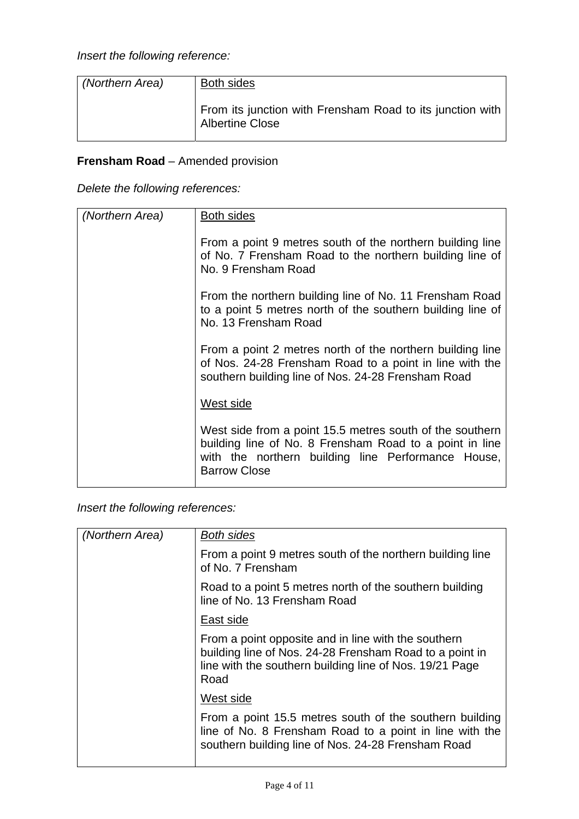| (Northern Area) | Both sides                                                                          |
|-----------------|-------------------------------------------------------------------------------------|
|                 | From its junction with Frensham Road to its junction with<br><b>Albertine Close</b> |

# **Frensham Road** – Amended provision

|  |  | Delete the following references: |
|--|--|----------------------------------|
|--|--|----------------------------------|

| (Northern Area) | Both sides                                                                                                                                                                                       |
|-----------------|--------------------------------------------------------------------------------------------------------------------------------------------------------------------------------------------------|
|                 | From a point 9 metres south of the northern building line<br>of No. 7 Frensham Road to the northern building line of<br>No. 9 Frensham Road                                                      |
|                 | From the northern building line of No. 11 Frensham Road<br>to a point 5 metres north of the southern building line of<br>No. 13 Frensham Road                                                    |
|                 | From a point 2 metres north of the northern building line<br>of Nos. 24-28 Frensham Road to a point in line with the<br>southern building line of Nos. 24-28 Frensham Road                       |
|                 | West side                                                                                                                                                                                        |
|                 | West side from a point 15.5 metres south of the southern<br>building line of No. 8 Frensham Road to a point in line<br>with the northern building line Performance House,<br><b>Barrow Close</b> |

*Insert the following references:* 

| (Northern Area) | <b>Both sides</b>                                                                                                                                                                 |
|-----------------|-----------------------------------------------------------------------------------------------------------------------------------------------------------------------------------|
|                 | From a point 9 metres south of the northern building line<br>of No. 7 Frensham                                                                                                    |
|                 | Road to a point 5 metres north of the southern building<br>line of No. 13 Frensham Road                                                                                           |
|                 | East side                                                                                                                                                                         |
|                 | From a point opposite and in line with the southern<br>building line of Nos. 24-28 Frensham Road to a point in<br>line with the southern building line of Nos. 19/21 Page<br>Road |
|                 | West side                                                                                                                                                                         |
|                 | From a point 15.5 metres south of the southern building<br>line of No. 8 Frensham Road to a point in line with the<br>southern building line of Nos. 24-28 Frensham Road          |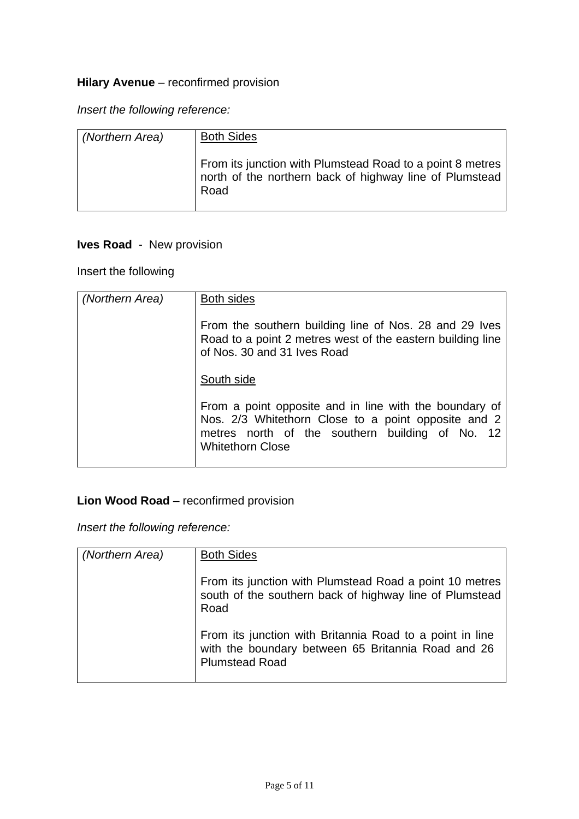# **Hilary Avenue** - reconfirmed provision

*Insert the following reference:* 

| (Northern Area) | <b>Both Sides</b>                                                                                                            |
|-----------------|------------------------------------------------------------------------------------------------------------------------------|
|                 | From its junction with Plumstead Road to a point 8 metres<br>north of the northern back of highway line of Plumstead<br>Road |

# **Ives Road** - New provision

Insert the following

| (Northern Area) | <b>Both sides</b>                                                                                                                                                                           |
|-----------------|---------------------------------------------------------------------------------------------------------------------------------------------------------------------------------------------|
|                 | From the southern building line of Nos. 28 and 29 Ives<br>Road to a point 2 metres west of the eastern building line<br>of Nos. 30 and 31 Ives Road                                         |
|                 | South side                                                                                                                                                                                  |
|                 | From a point opposite and in line with the boundary of<br>Nos. 2/3 Whitethorn Close to a point opposite and 2<br>metres north of the southern building of No. 12<br><b>Whitethorn Close</b> |

# **Lion Wood Road** – reconfirmed provision

*Insert the following reference:* 

| (Northern Area) | <b>Both Sides</b>                                                                                                                       |
|-----------------|-----------------------------------------------------------------------------------------------------------------------------------------|
|                 | From its junction with Plumstead Road a point 10 metres<br>south of the southern back of highway line of Plumstead<br>Road              |
|                 | From its junction with Britannia Road to a point in line<br>with the boundary between 65 Britannia Road and 26<br><b>Plumstead Road</b> |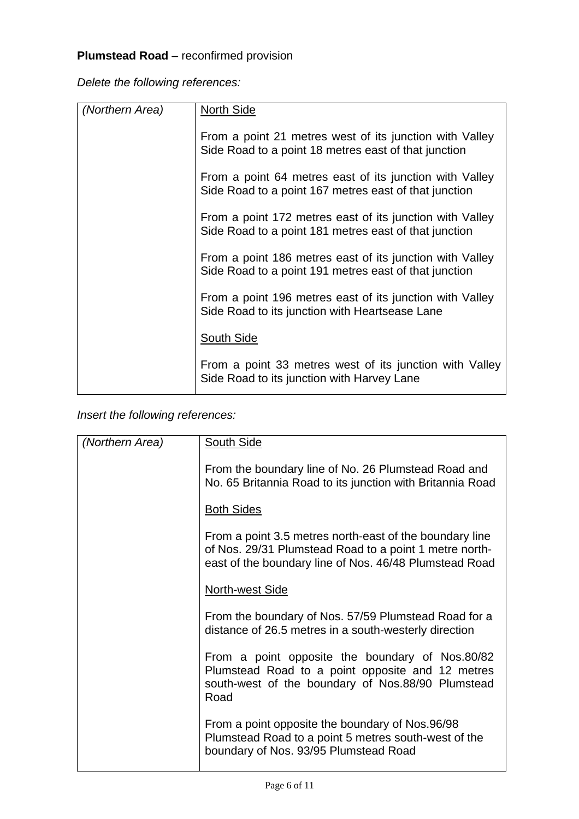# **Plumstead Road** – reconfirmed provision

*Delete the following references:* 

| (Northern Area) | <b>North Side</b>                                                                                                 |
|-----------------|-------------------------------------------------------------------------------------------------------------------|
|                 | From a point 21 metres west of its junction with Valley<br>Side Road to a point 18 metres east of that junction   |
|                 | From a point 64 metres east of its junction with Valley<br>Side Road to a point 167 metres east of that junction  |
|                 | From a point 172 metres east of its junction with Valley<br>Side Road to a point 181 metres east of that junction |
|                 | From a point 186 metres east of its junction with Valley<br>Side Road to a point 191 metres east of that junction |
|                 | From a point 196 metres east of its junction with Valley<br>Side Road to its junction with Heartsease Lane        |
|                 | South Side                                                                                                        |
|                 | From a point 33 metres west of its junction with Valley<br>Side Road to its junction with Harvey Lane             |

*Insert the following references:*

| (Northern Area) | South Side                                                                                                                                                                  |
|-----------------|-----------------------------------------------------------------------------------------------------------------------------------------------------------------------------|
|                 | From the boundary line of No. 26 Plumstead Road and<br>No. 65 Britannia Road to its junction with Britannia Road                                                            |
|                 | <b>Both Sides</b>                                                                                                                                                           |
|                 | From a point 3.5 metres north-east of the boundary line<br>of Nos. 29/31 Plumstead Road to a point 1 metre north-<br>east of the boundary line of Nos. 46/48 Plumstead Road |
|                 | North-west Side                                                                                                                                                             |
|                 | From the boundary of Nos. 57/59 Plumstead Road for a<br>distance of 26.5 metres in a south-westerly direction                                                               |
|                 | From a point opposite the boundary of Nos.80/82<br>Plumstead Road to a point opposite and 12 metres<br>south-west of the boundary of Nos.88/90 Plumstead<br>Road            |
|                 | From a point opposite the boundary of Nos.96/98<br>Plumstead Road to a point 5 metres south-west of the<br>boundary of Nos. 93/95 Plumstead Road                            |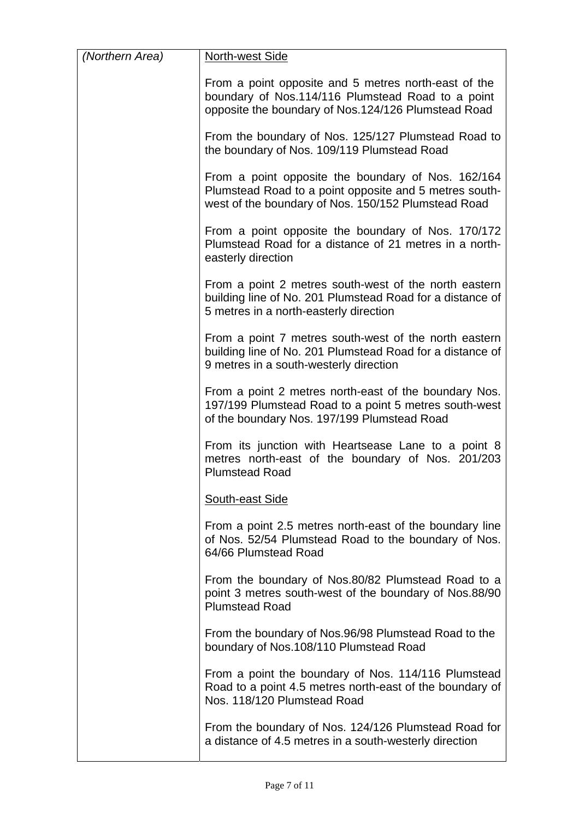| (Northern Area) | North-west Side                                                                                                                                                     |
|-----------------|---------------------------------------------------------------------------------------------------------------------------------------------------------------------|
|                 | From a point opposite and 5 metres north-east of the<br>boundary of Nos.114/116 Plumstead Road to a point<br>opposite the boundary of Nos.124/126 Plumstead Road    |
|                 | From the boundary of Nos. 125/127 Plumstead Road to<br>the boundary of Nos. 109/119 Plumstead Road                                                                  |
|                 | From a point opposite the boundary of Nos. 162/164<br>Plumstead Road to a point opposite and 5 metres south-<br>west of the boundary of Nos. 150/152 Plumstead Road |
|                 | From a point opposite the boundary of Nos. 170/172<br>Plumstead Road for a distance of 21 metres in a north-<br>easterly direction                                  |
|                 | From a point 2 metres south-west of the north eastern<br>building line of No. 201 Plumstead Road for a distance of<br>5 metres in a north-easterly direction        |
|                 | From a point 7 metres south-west of the north eastern<br>building line of No. 201 Plumstead Road for a distance of<br>9 metres in a south-westerly direction        |
|                 | From a point 2 metres north-east of the boundary Nos.<br>197/199 Plumstead Road to a point 5 metres south-west<br>of the boundary Nos. 197/199 Plumstead Road       |
|                 | From its junction with Heartsease Lane to a point 8<br>metres north-east of the boundary of Nos. 201/203<br><b>Plumstead Road</b>                                   |
|                 | <b>South-east Side</b>                                                                                                                                              |
|                 | From a point 2.5 metres north-east of the boundary line<br>of Nos. 52/54 Plumstead Road to the boundary of Nos.<br>64/66 Plumstead Road                             |
|                 | From the boundary of Nos.80/82 Plumstead Road to a<br>point 3 metres south-west of the boundary of Nos.88/90<br><b>Plumstead Road</b>                               |
|                 | From the boundary of Nos.96/98 Plumstead Road to the<br>boundary of Nos.108/110 Plumstead Road                                                                      |
|                 | From a point the boundary of Nos. 114/116 Plumstead<br>Road to a point 4.5 metres north-east of the boundary of<br>Nos. 118/120 Plumstead Road                      |
|                 | From the boundary of Nos. 124/126 Plumstead Road for<br>a distance of 4.5 metres in a south-westerly direction                                                      |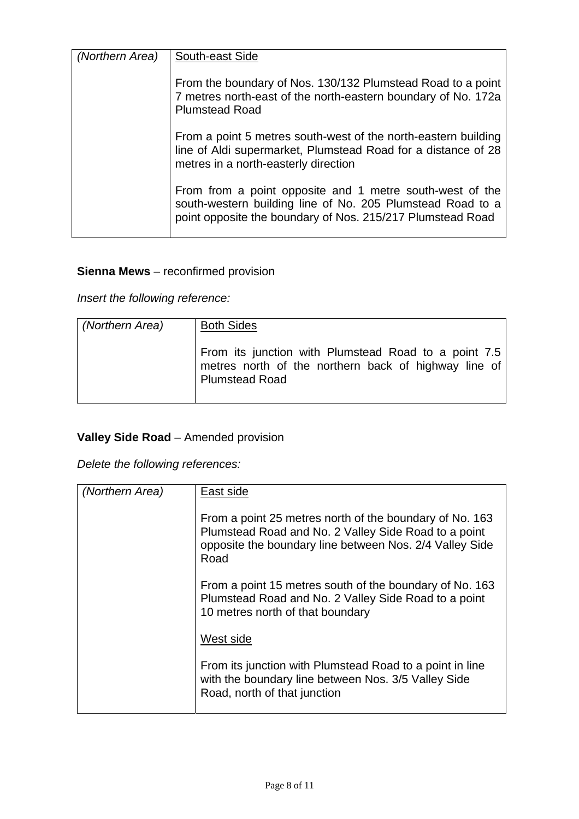| (Northern Area) | South-east Side                                                                                                                                                                      |
|-----------------|--------------------------------------------------------------------------------------------------------------------------------------------------------------------------------------|
|                 | From the boundary of Nos. 130/132 Plumstead Road to a point<br>7 metres north-east of the north-eastern boundary of No. 172a<br><b>Plumstead Road</b>                                |
|                 | From a point 5 metres south-west of the north-eastern building<br>line of Aldi supermarket, Plumstead Road for a distance of 28<br>metres in a north-easterly direction              |
|                 | From from a point opposite and 1 metre south-west of the<br>south-western building line of No. 205 Plumstead Road to a<br>point opposite the boundary of Nos. 215/217 Plumstead Road |

# **Sienna Mews** – reconfirmed provision

*Insert the following reference:* 

| (Northern Area) | <b>Both Sides</b>                                                                                                                     |
|-----------------|---------------------------------------------------------------------------------------------------------------------------------------|
|                 | From its junction with Plumstead Road to a point 7.5<br>metres north of the northern back of highway line of<br><b>Plumstead Road</b> |

# **Valley Side Road** – Amended provision

*Delete the following references:* 

| (Northern Area) | East side                                                                                                                                                                          |
|-----------------|------------------------------------------------------------------------------------------------------------------------------------------------------------------------------------|
|                 | From a point 25 metres north of the boundary of No. 163<br>Plumstead Road and No. 2 Valley Side Road to a point<br>opposite the boundary line between Nos. 2/4 Valley Side<br>Road |
|                 | From a point 15 metres south of the boundary of No. 163<br>Plumstead Road and No. 2 Valley Side Road to a point<br>10 metres north of that boundary                                |
|                 | West side                                                                                                                                                                          |
|                 | From its junction with Plumstead Road to a point in line<br>with the boundary line between Nos. 3/5 Valley Side<br>Road, north of that junction                                    |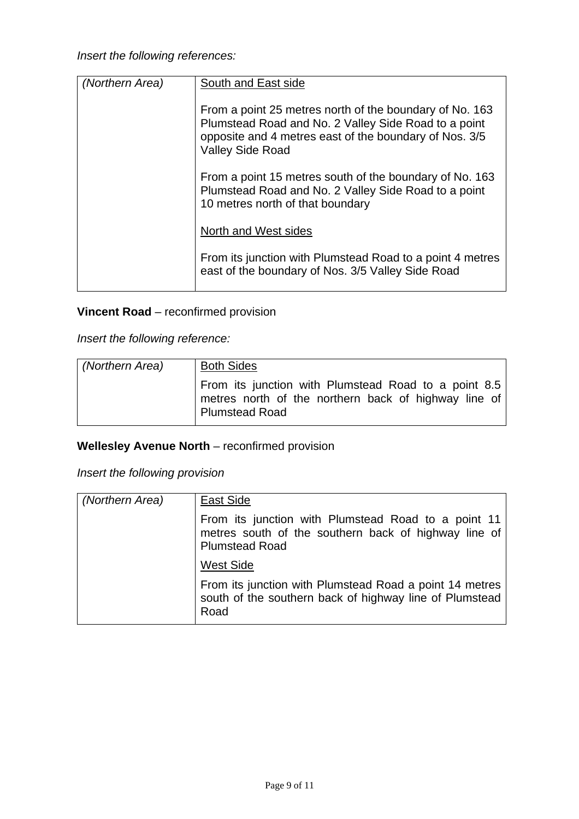| (Northern Area) | South and East side                                                                                                                                                                                  |
|-----------------|------------------------------------------------------------------------------------------------------------------------------------------------------------------------------------------------------|
|                 | From a point 25 metres north of the boundary of No. 163<br>Plumstead Road and No. 2 Valley Side Road to a point<br>opposite and 4 metres east of the boundary of Nos. 3/5<br><b>Valley Side Road</b> |
|                 | From a point 15 metres south of the boundary of No. 163<br>Plumstead Road and No. 2 Valley Side Road to a point<br>10 metres north of that boundary                                                  |
|                 | North and West sides                                                                                                                                                                                 |
|                 | From its junction with Plumstead Road to a point 4 metres<br>east of the boundary of Nos. 3/5 Valley Side Road                                                                                       |

# **Vincent Road** – reconfirmed provision

*Insert the following reference:* 

| (Northern Area) | <b>Both Sides</b>                                                                                                                     |
|-----------------|---------------------------------------------------------------------------------------------------------------------------------------|
|                 | From its junction with Plumstead Road to a point 8.5<br>metres north of the northern back of highway line of<br><b>Plumstead Road</b> |

# **Wellesley Avenue North** – reconfirmed provision

*Insert the following provision* 

| (Northern Area) | East Side                                                                                                                            |
|-----------------|--------------------------------------------------------------------------------------------------------------------------------------|
|                 | From its junction with Plumstead Road to a point 11<br>metres south of the southern back of highway line of<br><b>Plumstead Road</b> |
|                 | <b>West Side</b>                                                                                                                     |
|                 | From its junction with Plumstead Road a point 14 metres<br>south of the southern back of highway line of Plumstead<br>Road           |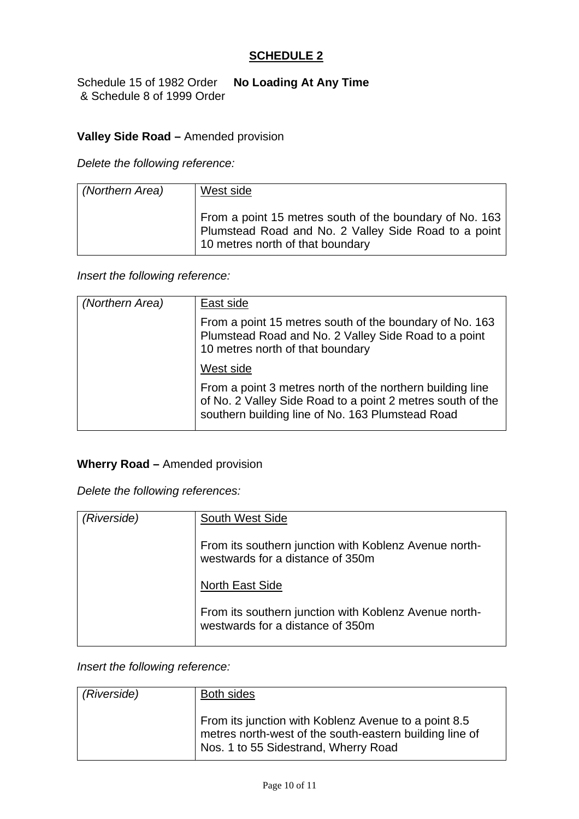## **SCHEDULE 2**

Schedule 15 of 1982 Order **No Loading At Any Time** & Schedule 8 of 1999 Order

## **Valley Side Road –** Amended provision

*Delete the following reference:* 

| (Northern Area) | West side                                                                                                                                           |
|-----------------|-----------------------------------------------------------------------------------------------------------------------------------------------------|
|                 | From a point 15 metres south of the boundary of No. 163<br>Plumstead Road and No. 2 Valley Side Road to a point<br>10 metres north of that boundary |

*Insert the following reference:* 

| (Northern Area) | East side                                                                                                                                                                   |
|-----------------|-----------------------------------------------------------------------------------------------------------------------------------------------------------------------------|
|                 | From a point 15 metres south of the boundary of No. 163<br>Plumstead Road and No. 2 Valley Side Road to a point<br>10 metres north of that boundary                         |
|                 | West side                                                                                                                                                                   |
|                 | From a point 3 metres north of the northern building line<br>of No. 2 Valley Side Road to a point 2 metres south of the<br>southern building line of No. 163 Plumstead Road |

### **Wherry Road –** Amended provision

*Delete the following references:* 

| (Riverside) | <b>South West Side</b>                                                                    |
|-------------|-------------------------------------------------------------------------------------------|
|             | From its southern junction with Koblenz Avenue north-<br>westwards for a distance of 350m |
|             | North East Side                                                                           |
|             | From its southern junction with Koblenz Avenue north-<br>westwards for a distance of 350m |

*Insert the following reference:* 

| (Riverside) | Both sides                                                                                                                                              |
|-------------|---------------------------------------------------------------------------------------------------------------------------------------------------------|
|             | From its junction with Koblenz Avenue to a point 8.5<br>metres north-west of the south-eastern building line of<br>Nos. 1 to 55 Sidestrand, Wherry Road |